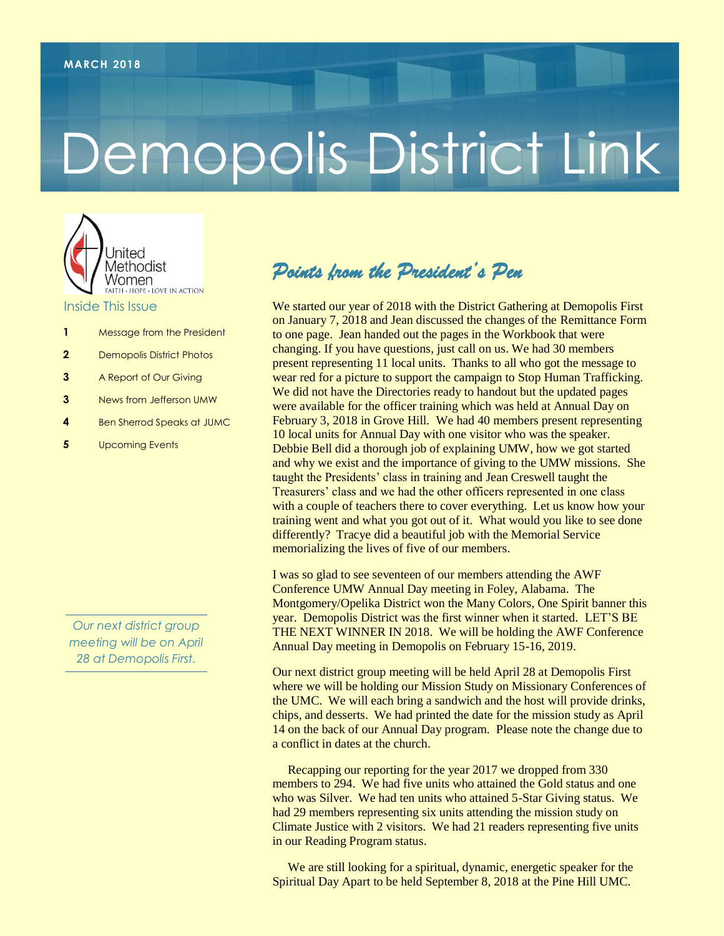# Demopolis District Link



- **1** Message from the President
- **2** Demopolis District Photos
- **3** A Report of Our Giving
- **3** News from Jefferson UMW
- **4** Ben Sherrod Speaks at JUMC
- **5** Upcoming Events

*Our next district group meeting will be on April 28 at Demopolis First.*

#### *Points from the President's Pen*

We started our year of 2018 with the District Gathering at Demopolis First on January 7, 2018 and Jean discussed the changes of the Remittance Form to one page. Jean handed out the pages in the Workbook that were changing. If you have questions, just call on us. We had 30 members present representing 11 local units. Thanks to all who got the message to wear red for a picture to support the campaign to Stop Human Trafficking. We did not have the Directories ready to handout but the updated pages were available for the officer training which was held at Annual Day on February 3, 2018 in Grove Hill. We had 40 members present representing 10 local units for Annual Day with one visitor who was the speaker. Debbie Bell did a thorough job of explaining UMW, how we got started and why we exist and the importance of giving to the UMW missions. She taught the Presidents' class in training and Jean Creswell taught the Treasurers' class and we had the other officers represented in one class with a couple of teachers there to cover everything. Let us know how your training went and what you got out of it. What would you like to see done differently? Tracye did a beautiful job with the Memorial Service memorializing the lives of five of our members.

I was so glad to see seventeen of our members attending the AWF Conference UMW Annual Day meeting in Foley, Alabama. The Montgomery/Opelika District won the Many Colors, One Spirit banner this year. Demopolis District was the first winner when it started. LET'S BE THE NEXT WINNER IN 2018. We will be holding the AWF Conference Annual Day meeting in Demopolis on February 15-16, 2019.

Our next district group meeting will be held April 28 at Demopolis First where we will be holding our Mission Study on Missionary Conferences of the UMC. We will each bring a sandwich and the host will provide drinks, chips, and desserts. We had printed the date for the mission study as April 14 on the back of our Annual Day program. Please note the change due to a conflict in dates at the church.

 Recapping our reporting for the year 2017 we dropped from 330 members to 294. We had five units who attained the Gold status and one who was Silver. We had ten units who attained 5-Star Giving status. We had 29 members representing six units attending the mission study on Climate Justice with 2 visitors. We had 21 readers representing five units in our Reading Program status.

 We are still looking for a spiritual, dynamic, energetic speaker for the Spiritual Day Apart to be held September 8, 2018 at the Pine Hill UMC.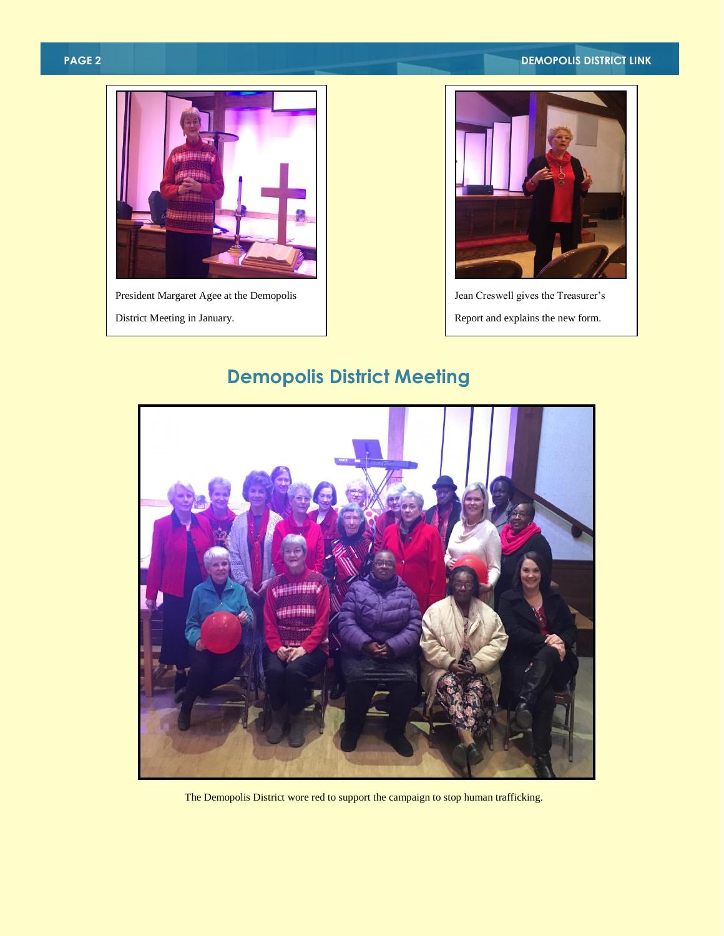#### **PAGE 2 DEMOPOLIS DISTRICT LINK**





Jean Creswell gives the Treasurer's Report and explains the new form.

## **Demopolis District Meeting**



The Demopolis District wore red to support the campaign to stop human trafficking.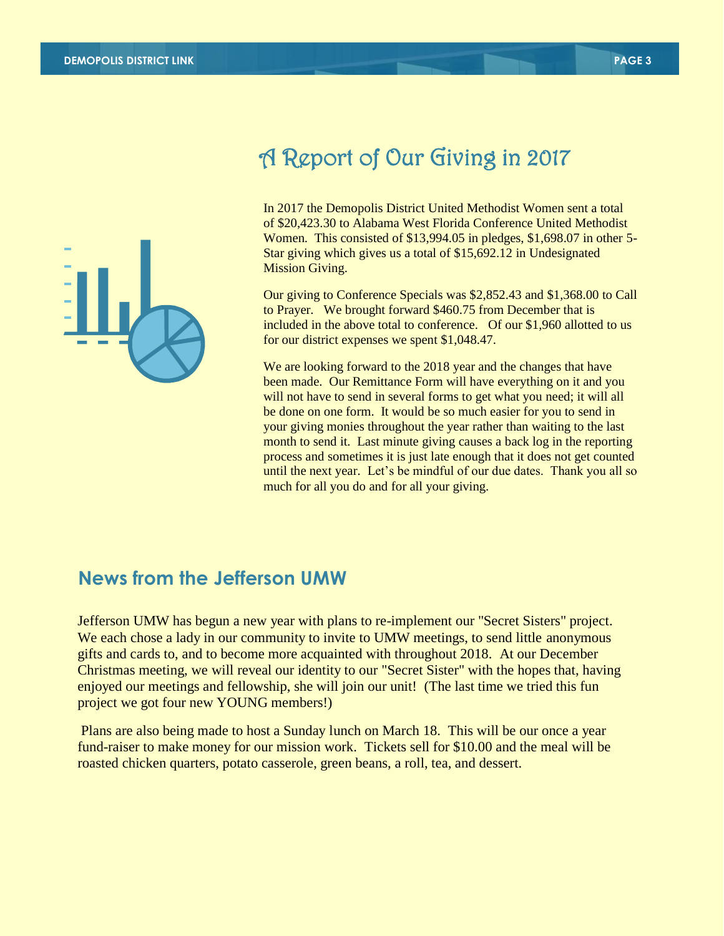

# A Report of Our Giving in 2017

In 2017 the Demopolis District United Methodist Women sent a total of \$20,423.30 to Alabama West Florida Conference United Methodist Women. This consisted of \$13,994.05 in pledges, \$1,698.07 in other 5- Star giving which gives us a total of \$15,692.12 in Undesignated Mission Giving.

Our giving to Conference Specials was \$2,852.43 and \$1,368.00 to Call to Prayer. We brought forward \$460.75 from December that is included in the above total to conference. Of our \$1,960 allotted to us for our district expenses we spent \$1,048.47.

We are looking forward to the 2018 year and the changes that have been made. Our Remittance Form will have everything on it and you will not have to send in several forms to get what you need; it will all be done on one form. It would be so much easier for you to send in your giving monies throughout the year rather than waiting to the last month to send it. Last minute giving causes a back log in the reporting process and sometimes it is just late enough that it does not get counted until the next year. Let's be mindful of our due dates. Thank you all so much for all you do and for all your giving.

#### **News from the Jefferson UMW**

Jefferson UMW has begun a new year with plans to re-implement our "Secret Sisters" project. We each chose a lady in our community to invite to UMW meetings, to send little anonymous gifts and cards to, and to become more acquainted with throughout 2018. At our December Christmas meeting, we will reveal our identity to our "Secret Sister" with the hopes that, having enjoyed our meetings and fellowship, she will join our unit! (The last time we tried this fun project we got four new YOUNG members!)

Plans are also being made to host a Sunday lunch on March 18. This will be our once a year fund-raiser to make money for our mission work. Tickets sell for \$10.00 and the meal will be roasted chicken quarters, potato casserole, green beans, a roll, tea, and dessert.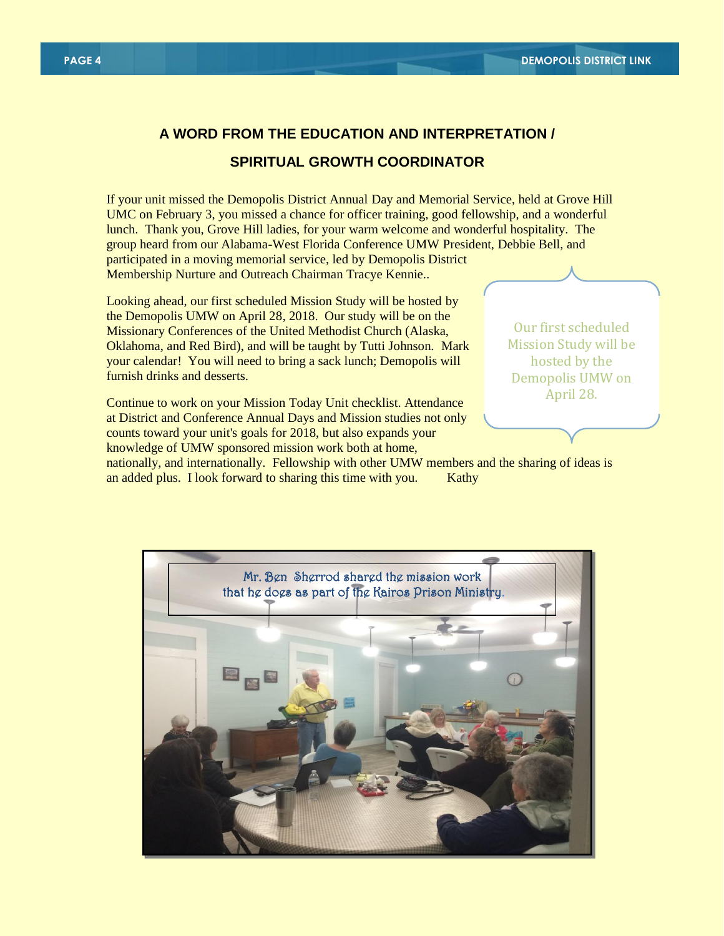### **A WORD FROM THE EDUCATION AND INTERPRETATION /**

#### **SPIRITUAL GROWTH COORDINATOR**

If your unit missed the Demopolis District Annual Day and Memorial Service, held at Grove Hill UMC on February 3, you missed a chance for officer training, good fellowship, and a wonderful lunch. Thank you, Grove Hill ladies, for your warm welcome and wonderful hospitality. The group heard from our Alabama-West Florida Conference UMW President, Debbie Bell, and participated in a moving memorial service, led by Demopolis District Membership Nurture and Outreach Chairman Tracye Kennie..

Looking ahead, our first scheduled Mission Study will be hosted by the Demopolis UMW on April 28, 2018. Our study will be on the Missionary Conferences of the United Methodist Church (Alaska, Oklahoma, and Red Bird), and will be taught by Tutti Johnson. Mark your calendar! You will need to bring a sack lunch; Demopolis will furnish drinks and desserts.

Continue to work on your Mission Today Unit checklist. Attendance at District and Conference Annual Days and Mission studies not only counts toward your unit's goals for 2018, but also expands your knowledge of UMW sponsored mission work both at home,

Our first scheduled Mission Study will be hosted by the Demopolis UMW on April 28.

nationally, and internationally. Fellowship with other UMW members and the sharing of ideas is an added plus. I look forward to sharing this time with you. Kathy